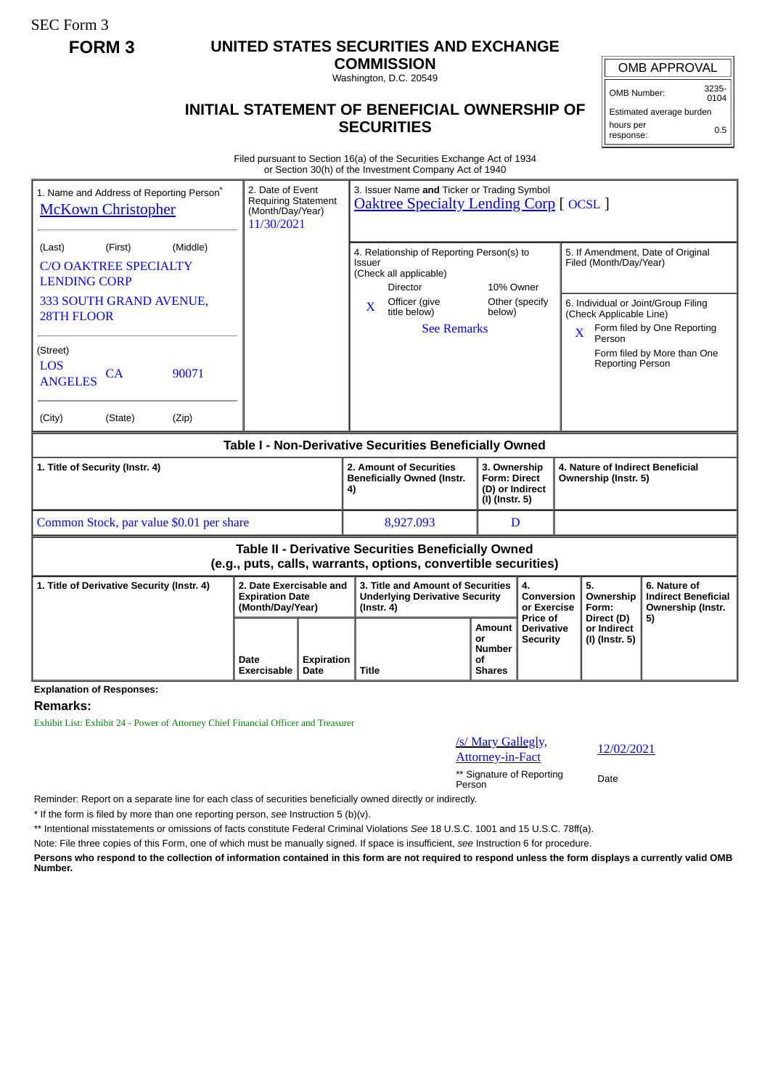SEC Form 3

## **FORM 3 UNITED STATES SECURITIES AND EXCHANGE**

**COMMISSION** Washington, D.C. 20549

## **INITIAL STATEMENT OF BENEFICIAL OWNERSHIP OF SECURITIES**

Estimated average burden

response:

Filed pursuant to Section 16(a) of the Securities Exchange Act of 1934 or Section 30(h) of the Investment Company Act of 1940

| 1. Name and Address of Reporting Person <sup>®</sup><br><b>McKown Christopher</b>                                                                                                                                             |                                                                       | 3. Issuer Name and Ticker or Trading Symbol<br>2. Date of Event<br><b>Requiring Statement</b><br><b>Oaktree Specialty Lending Corp [OCSL]</b><br>(Month/Day/Year)<br>11/30/2021 |                                                                                                                                                              |                     |                                                    |                                                          |                                                                                        |                                                                                                                                        |
|-------------------------------------------------------------------------------------------------------------------------------------------------------------------------------------------------------------------------------|-----------------------------------------------------------------------|---------------------------------------------------------------------------------------------------------------------------------------------------------------------------------|--------------------------------------------------------------------------------------------------------------------------------------------------------------|---------------------|----------------------------------------------------|----------------------------------------------------------|----------------------------------------------------------------------------------------|----------------------------------------------------------------------------------------------------------------------------------------|
| (Middle)<br>(First)<br>(Last)<br><b>C/O OAKTREE SPECIALTY</b><br><b>LENDING CORP</b><br>333 SOUTH GRAND AVENUE,<br><b>28TH FLOOR</b><br>(Street)<br><b>LOS</b><br>90071<br>CA<br><b>ANGELES</b><br>(City)<br>(State)<br>(Zip) |                                                                       |                                                                                                                                                                                 | 4. Relationship of Reporting Person(s) to<br>Issuer<br>(Check all applicable)<br><b>Director</b><br>Officer (give<br>X<br>title below)<br><b>See Remarks</b> | 10% Owner<br>below) | Other (specify                                     | $\overline{\mathbf{X}}$                                  | Filed (Month/Day/Year)<br>(Check Applicable Line)<br>Person<br><b>Reporting Person</b> | 5. If Amendment, Date of Original<br>6. Individual or Joint/Group Filing<br>Form filed by One Reporting<br>Form filed by More than One |
| Table I - Non-Derivative Securities Beneficially Owned                                                                                                                                                                        |                                                                       |                                                                                                                                                                                 |                                                                                                                                                              |                     |                                                    |                                                          |                                                                                        |                                                                                                                                        |
| 1. Title of Security (Instr. 4)                                                                                                                                                                                               |                                                                       |                                                                                                                                                                                 | 2. Amount of Securities<br>3. Ownership<br><b>Beneficially Owned (Instr.</b><br><b>Form: Direct</b><br>(D) or Indirect<br>4)<br>(I) (Instr. 5)               |                     |                                                    | 4. Nature of Indirect Beneficial<br>Ownership (Instr. 5) |                                                                                        |                                                                                                                                        |
| Common Stock, par value \$0.01 per share                                                                                                                                                                                      |                                                                       |                                                                                                                                                                                 | 8,927.093                                                                                                                                                    |                     | D                                                  |                                                          |                                                                                        |                                                                                                                                        |
| <b>Table II - Derivative Securities Beneficially Owned</b><br>(e.g., puts, calls, warrants, options, convertible securities)                                                                                                  |                                                                       |                                                                                                                                                                                 |                                                                                                                                                              |                     |                                                    |                                                          |                                                                                        |                                                                                                                                        |
|                                                                                                                                                                                                                               |                                                                       |                                                                                                                                                                                 |                                                                                                                                                              |                     |                                                    |                                                          |                                                                                        |                                                                                                                                        |
| 1. Title of Derivative Security (Instr. 4)                                                                                                                                                                                    | 2. Date Exercisable and<br><b>Expiration Date</b><br>(Month/Day/Year) |                                                                                                                                                                                 | 3. Title and Amount of Securities<br><b>Underlying Derivative Security</b><br>$($ lnstr. 4 $)$                                                               |                     | 4.<br><b>Conversion</b><br>or Exercise<br>Price of |                                                          | 5.<br>Ownership<br>Form:<br>Direct (D)                                                 | 6. Nature of<br><b>Indirect Beneficial</b><br>Ownership (Instr.<br>5)                                                                  |

**Explanation of Responses:**

**Remarks:**

Exhibit List: Exhibit 24 - Power of Attorney Chief Financial Officer and Treasurer

## /s/ Mary Gallegly,

<u>S/Mary Gallegly</u>,<br>Attorney-in-Fact 12/02/2021

Reminder: Report on a separate line for each class of securities beneficially owned directly or indirectly.

\* If the form is filed by more than one reporting person, *see* Instruction 5 (b)(v).

\*\* Intentional misstatements or omissions of facts constitute Federal Criminal Violations *See* 18 U.S.C. 1001 and 15 U.S.C. 78ff(a).

Note: File three copies of this Form, one of which must be manually signed. If space is insufficient, *see* Instruction 6 for procedure.

**Persons who respond to the collection of information contained in this form are not required to respond unless the form displays a currently valid OMB Number.**

OMB APPROVAL

OMB Number: 3235-

 $0104$ 

hours per 0.5

\*\* Signature of Reporting Person Date